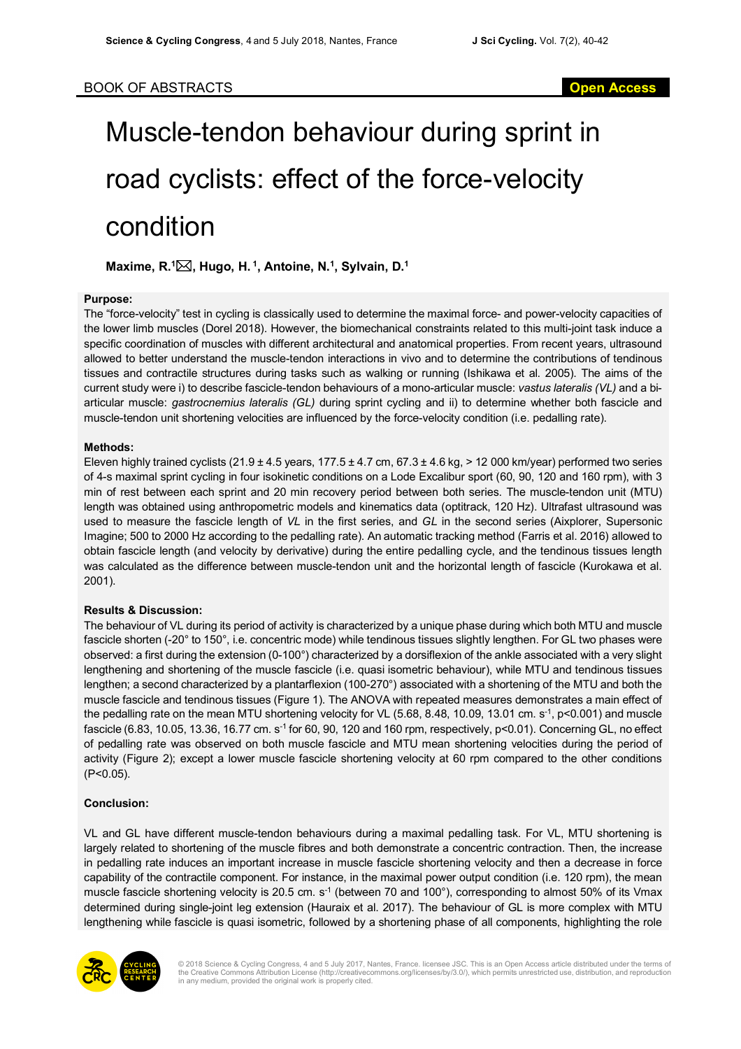# Muscle-tendon behaviour during sprint in road cyclists: effect of the force-velocity condition

**Maxime, R. 1** \***, Hugo, H. 1, Antoine, N. 1, Sylvain, D. 1**

### **Purpose:**

The "force-velocity" test in cycling is classically used to determine the maximal force- and power-velocity capacities of the lower limb muscles (Dorel 2018). However, the biomechanical constraints related to this multi-joint task induce a specific coordination of muscles with different architectural and anatomical properties. From recent years, ultrasound allowed to better understand the muscle-tendon interactions in vivo and to determine the contributions of tendinous tissues and contractile structures during tasks such as walking or running (Ishikawa et al. 2005). The aims of the current study were i) to describe fascicle-tendon behaviours of a mono-articular muscle: *vastus lateralis (VL)* and a biarticular muscle: *gastrocnemius lateralis (GL)* during sprint cycling and ii) to determine whether both fascicle and muscle-tendon unit shortening velocities are influenced by the force-velocity condition (i.e. pedalling rate).

## **Methods:**

Eleven highly trained cyclists (21.9 ± 4.5 years, 177.5 ± 4.7 cm,  $67.3 \pm 4.6$  kg, > 12 000 km/year) performed two series of 4-s maximal sprint cycling in four isokinetic conditions on a Lode Excalibur sport (60, 90, 120 and 160 rpm), with 3 min of rest between each sprint and 20 min recovery period between both series. The muscle-tendon unit (MTU) length was obtained using anthropometric models and kinematics data (optitrack, 120 Hz). Ultrafast ultrasound was used to measure the fascicle length of *VL* in the first series, and *GL* in the second series (Aixplorer, Supersonic Imagine; 500 to 2000 Hz according to the pedalling rate). An automatic tracking method (Farris et al. 2016) allowed to obtain fascicle length (and velocity by derivative) during the entire pedalling cycle, and the tendinous tissues length was calculated as the difference between muscle-tendon unit and the horizontal length of fascicle (Kurokawa et al. 2001).

### **Results & Discussion:**

The behaviour of VL during its period of activity is characterized by a unique phase during which both MTU and muscle fascicle shorten (-20° to 150°, i.e. concentric mode) while tendinous tissues slightly lengthen. For GL two phases were observed: a first during the extension (0-100°) characterized by a dorsiflexion of the ankle associated with a very slight lengthening and shortening of the muscle fascicle (i.e. quasi isometric behaviour), while MTU and tendinous tissues lengthen; a second characterized by a plantarflexion (100-270°) associated with a shortening of the MTU and both the muscle fascicle and tendinous tissues (Figure 1). The ANOVA with repeated measures demonstrates a main effect of the pedalling rate on the mean MTU shortening velocity for VL (5.68, 8.48, 10.09, 13.01 cm. s<sup>-1</sup>, p<0.001) and muscle fascicle (6.83, 10.05, 13.36, 16.77 cm. s<sup>-1</sup> for 60, 90, 120 and 160 rpm, respectively,  $p$ <0.01). Concerning GL, no effect of pedalling rate was observed on both muscle fascicle and MTU mean shortening velocities during the period of activity (Figure 2); except a lower muscle fascicle shortening velocity at 60 rpm compared to the other conditions (P<0.05).

## **Conclusion:**

VL and GL have different muscle-tendon behaviours during a maximal pedalling task. For VL, MTU shortening is largely related to shortening of the muscle fibres and both demonstrate a concentric contraction. Then, the increase in pedalling rate induces an important increase in muscle fascicle shortening velocity and then a decrease in force capability of the contractile component. For instance, in the maximal power output condition (i.e. 120 rpm), the mean muscle fascicle shortening velocity is 20.5 cm. s<sup>-1</sup> (between 70 and 100°), corresponding to almost 50% of its Vmax determined during single-joint leg extension (Hauraix et al. 2017). The behaviour of GL is more complex with MTU lengthening while fascicle is quasi isometric, followed by a shortening phase of all components, highlighting the role



© 2018 Science & Cycling Congress, 4 and 5 July 2017, Nantes, France. licensee JSC. This is an Open Access article distributed under the terms of the Creative Commons Attribution License (http://creativecommons.org/licenses/by/3.0/), which permits unrestricted use, distribution, and reproduction in any medium, provided the original work is properly cited.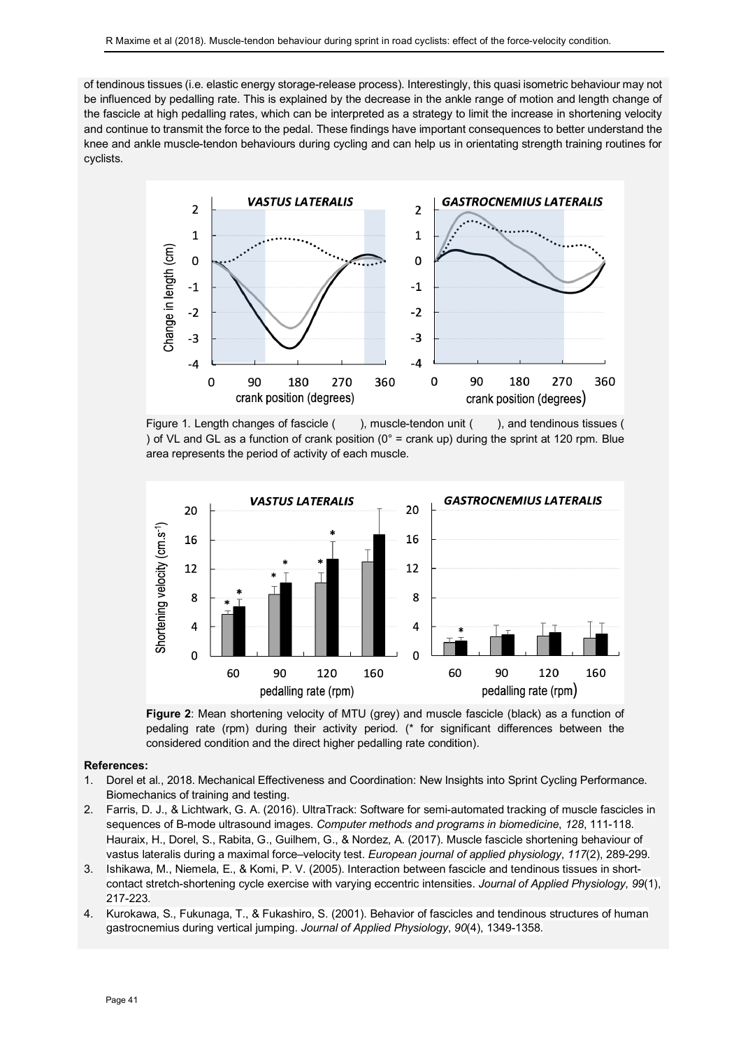of tendinous tissues (i.e. elastic energy storage-release process). Interestingly, this quasi isometric behaviour may not be influenced by pedalling rate. This is explained by the decrease in the ankle range of motion and length change of the fascicle at high pedalling rates, which can be interpreted as a strategy to limit the increase in shortening velocity and continue to transmit the force to the pedal. These findings have important consequences to better understand the knee and ankle muscle-tendon behaviours during cycling and can help us in orientating strength training routines for cyclists.



Figure 1. Length changes of fascicle ( ), muscle-tendon unit ( ), and tendinous tissues ( ) of VL and GL as a function of crank position ( $0^\circ$  = crank up) during the sprint at 120 rpm. Blue area represents the period of activity of each muscle.





#### **References:**

- 1. Dorel et al., 2018. Mechanical Effectiveness and Coordination: New Insights into Sprint Cycling Performance. Biomechanics of training and testing.
- 2. Farris, D. J., & Lichtwark, G. A. (2016). UltraTrack: Software for semi-automated tracking of muscle fascicles in sequences of B-mode ultrasound images. *Computer methods and programs in biomedicine*, *128*, 111-118. Hauraix, H., Dorel, S., Rabita, G., Guilhem, G., & Nordez, A. (2017). Muscle fascicle shortening behaviour of vastus lateralis during a maximal force–velocity test. *European journal of applied physiology*, *117*(2), 289-299.
- 3. Ishikawa, M., Niemela, E., & Komi, P. V. (2005). Interaction between fascicle and tendinous tissues in shortcontact stretch-shortening cycle exercise with varying eccentric intensities. *Journal of Applied Physiology*, *99*(1), 217-223.
- 4. Kurokawa, S., Fukunaga, T., & Fukashiro, S. (2001). Behavior of fascicles and tendinous structures of human gastrocnemius during vertical jumping. *Journal of Applied Physiology*, *90*(4), 1349-1358.